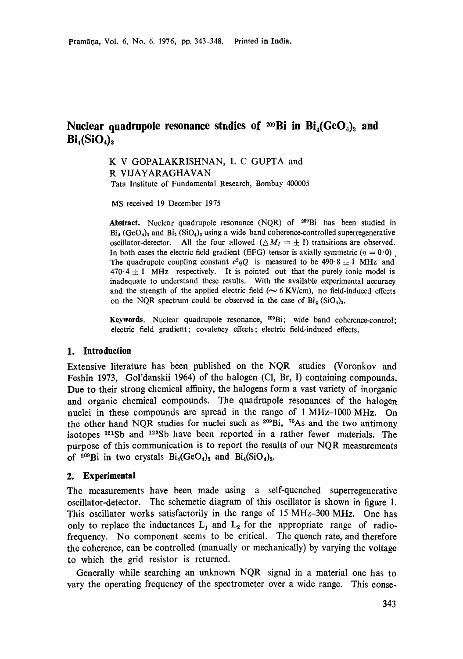# **Nuclear quadrupole resonance studies of 209 Bi in**  $Bi_4(GeO_4)$  **and**  $Bi_4(SiO_4)_3$

# K V GOPALAKRISHNAN, L C GUPTA and R VIJAYARAGHAVAN Tata Institute of Fundamental Research, Bombay 400005

MS received 19 December 1975

Abstract. Nuclear quadrupole resonance (NQR) of <sup>209</sup>Bi has been studied in  $Bi_4$  (GeO<sub>4</sub>)<sub>3</sub> and  $Bi_4$  (SiO<sub>4</sub>)<sub>3</sub> using a wide band coherence-controlled superregenerative oscillator-detector. All the four allowed  $(\triangle M_I = \pm 1)$  transitions are observed. In both cases the electric field gradient (EFG) tensor is axially symmetric ( $\eta = 0.0$ ). The quadrupole coupling constant  $e^2qQ$  is measured to be 490.8  $\pm$  1 MHz and  $470.4 \pm 1$  MHz respectively. It is pointed out that the purely ionic model is inadequate to understand these results. With the available experimental accuracy and the strength of the applied electric field ( $\sim$  6 KV/cm), no field-induced effects on the NQR spectrum could be observed in the case of  $Bi_4(SiO_4)_3$ .

**Keywords.** Nuclear quadrupole resonance, 2°9Bi; wide band coherence-control; electric field gradient; covalency effects; electric field-induced effects.

## **1. Introduction**

Extensive literature has been published on the NQR studies (Voronkov and Feshin 1973, Gol'danskii 1964) of the halogen (CI, Br, I) containing compounds. Due to their strong chemical affinity, the halogens form a vast variety of inorganic and organic chemical compounds. The quadrupole resonances of the halogen nuclei in these compounds are spread in the range of 1 MHz-1000 MHz. On the other hand NOR studies for nuclei such as  $2^{09}Bi$ , <sup>75</sup>As and the two antimony isotopes  $121\text{Sb}$  and  $123\text{Sb}$  have been reported in a rather fewer materials. The purpose of this communication is to report the results of our NQR measurements of  $^{209}$ Bi in two crystals  $Bi_4(GeO_4)_3$  and  $Bi_4(SiO_4)_3$ .

### **2. Experimental**

The measurements have been made using a self-quenched superregenerative oscillator-detector. The schemetic diagram of this oscillator is shown in figure 1. This oscillator works satisfactorily in the range of 15 MHz-300 MHz. One has only to replace the inductances  $L_1$  and  $L_2$  for the appropriate range of radiofrequency. No component seems to be critical. The quench rate, and therefore the coherence, can be controlled (manually or mechanically) by varying the voltage to which the grid resistor is returned.

Generally while searching an unknown NQR signal in a material one has to vary the operating frequency of the spectrometer over a wide range. This conse-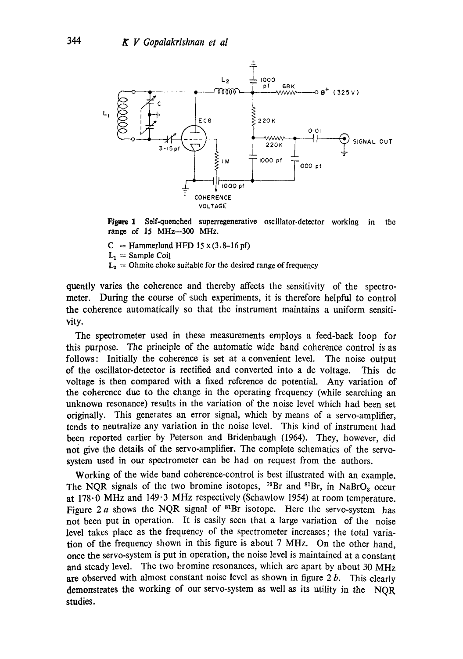

Figure 1 Self-quenched superregenerative oscillator-detector working range of 15 MHz-300 MHz. in the

 $C =$  Hammerlund HFD 15 x (3.8-16 pf)

 $L_1 =$  Sample Coil

 $L_2 = Ohmite$  choke suitable for the desired range of frequency

quently varies the coherence and thereby affects the sensitivity of the spectrometer. During the course of such experiments, it is therefore helpful to control the coherence automatically so that the instrument maintains a uniform sensitivity.

The spectrometer used in these measurements employs a feed-back loop for this purpose. The principle of the automatic wide band coherence control is as follows: Initially the coherence is set at a convenient level. The noise output of the oscillator-detector is rectified and converted into a dc voltage. This de voltage is then compared with a fixed reference dc potential. Any variation of the coherence due to the change in the operating frequency (while searching an unknown resonance) results in the variation of the noise level which had been set originally. This generates an error signal, which by means of a servo-amplifier, tends to neutralize any variation in the noise level. This kind of instrument had been reported earlier by Peterson and Bridenbaugh (1964). They, however, did not give the details of the servo-amplifier. The complete schematics of the servosystem used in our spectrometer can be had on request from the authors.

Working of the wide band coherence-control is best illustrated with an example. The NQR signals of the two bromine isotopes, <sup>79</sup>Br and <sup>81</sup>Br, in NaBrO<sub>3</sub> occur at 178.0 MHz and 149.3 MHz respectively (Schawlow 1954) at room temperature. Figure 2 a shows the NQR signal of  $B^8Br$  isotope. Here the servo-system has not been put in operation. It is easily seen that a large variation of the noise level takes place as the frequency of the spectrometer increases; the total variation of the frequency shown in this figure is about 7 MHz. On the other hand, once the servo-system is put in operation, the noise level is maintained at a constant and steady level. The two bromine resonances, which are apart by about 30 MHz are observed with almost constant noise level as shown in figure  $2 b$ . This clearly demonstrates the working of our servo-system as well as its utility in the NQR studies.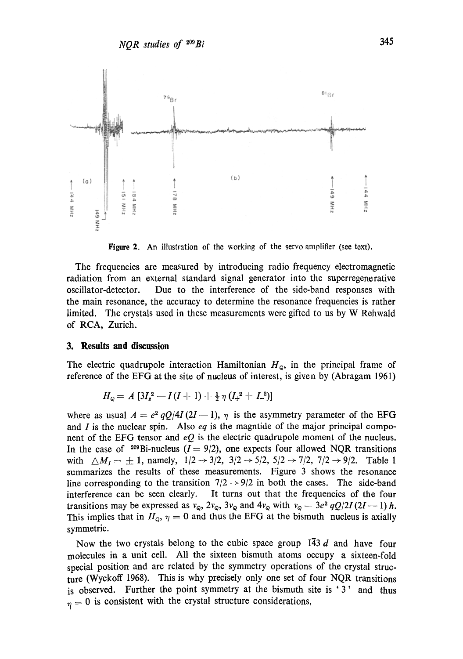

**Figure** 2. An illustration of the working of the servo amplifier (see text).

The frequencies are measured by introducing radio frequency electromagnetic radiation from an external standard signal generator into the superregenerative oscillator-detector. Due to the interference of the side-band responses with the main resonance, the accuracy to determine the resonance frequencies is rather limited. The crystals used in these measurements were gifted to us by W Rehwald of RCA, Zurich.

#### **3. Results and discussion**

The electric quadrupole interaction Hamiltonian  $H_{\varphi}$ , in the principal frame of reference of the EFG at the site of nucleus of interest, is given by (Abragam 1961)

$$
H_{\varphi} = A \left[ 3I_{z}^{2} - I(I+1) + \frac{1}{2} \eta \left( I_{+}^{2} + I_{-}^{2} \right) \right]
$$

where as usual  $A = e^2 qQ/4I(2I-1)$ ,  $\eta$  is the asymmetry parameter of the EFG and I is the nuclear spin. Also *eq* is the magntide of the major principal component of the EFG tensor and  $eQ$  is the electric quadrupole moment of the nucleus. In the case of <sup>209</sup>Bi-nucleus ( $I = 9/2$ ), one expects four allowed NQR transitions with  $\triangle M_1 = \pm 1$ , namely,  $1/2 \rightarrow 3/2$ ,  $3/2 \rightarrow 5/2$ ,  $5/2 \rightarrow 7/2$ ,  $7/2 \rightarrow 9/2$ . Table 1 summarizes the results of these measurements. Figure 3 shows the resonance line corresponding to the transition  $7/2 \rightarrow 9/2$  in both the cases. The side-band interference can be seen clearly. It turns out that the frequencies of the four transitions may be expressed as  $v_{\mathbf{Q}}$ ,  $2v_{\mathbf{Q}}$ ,  $3v_{\mathbf{Q}}$  and  $4v_{\mathbf{Q}}$  with  $v_{\mathbf{Q}} = 3e^2 qQ/2I(2I-1)h$ . This implies that in  $H_{\mathcal{Q}}$ ,  $\eta = 0$  and thus the EFG at the bismuth nucleus is axially symmetric.

Now the two crystals belong to the cubic space group  $\overline{143}$  d and have four molecules in a unit cell. All the sixteen bismuth atoms occupy a sixteen-fold special position and are related by the symmetry operations of the crystal structure (Wyckoff 1968). This is why precisely only one set of four NQR transitions is observed. Further the point symmetry at the bismuth site is '3' and thus  $\eta = 0$  is consistent with the crystal structure considerations,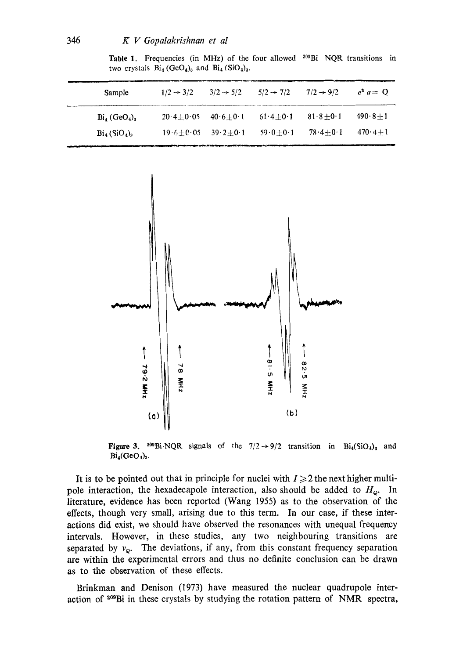wl,,

Table 1. Frequencies (in MHz) of the four allowed  $209Bi$  NQR transitions in two crystals  $Bi_4$  (GeO<sub>4</sub>)<sub>3</sub> and  $Bi_4$  (SiO<sub>4</sub>)<sub>3</sub>.

| Sample                                        | $1/2 \rightarrow 3/2$ | $3/2 \rightarrow 5/2$ | $5/2 \rightarrow 7/2$ | $7/2 \rightarrow 9/2$ | $e^3 a = Q$       |
|-----------------------------------------------|-----------------------|-----------------------|-----------------------|-----------------------|-------------------|
| $Bi4 (GeO4)3$                                 | $20.4 + 0.05$         | $40.6 + 0.1$          | $61.4 + 0.1$          | $81.8 + 0.1$          | $490.8 + 1$       |
| $\operatorname{Bi}_4(\operatorname{SiO}_4)$ , | $19.6 + 0.05$         | $39.2 + 0.1$          | $59.0 + 0.1$          | $78.4 + 0.1$          | $470 \cdot 4 + 1$ |



Figure 3. <sup>209</sup>Bi.NQR signals of the  $7/2 \rightarrow 9/2$  transition in Bi<sub>4</sub>(SiO<sub>1</sub>)<sub>3</sub> and  $Bi_4(GeO_4)_3$ .

It is to be pointed out that in principle for nuclei with  $I \geq 2$  the next higher multipole interaction, the hexadecapole interaction, also should be added to  $H_{\varphi}$ . In literature, evidence has been reported (Wang 1955) as to the observation of the effects, though very small, arising due to this term. In our case, if these interactions did exist, we should have observed the resonances with unequal frequency intervals. However, in these studies, any two neighbouring transitions are separated by  $v_{\mathbf{Q}}$ . The deviations, if any, from this constant frequency separation are within the experimental errors and thus no definite conclusion can be drawn as to the observation of these effects.

Brinkman and Denison (1973) have measured the nuclear quadrupole interaction of <sup>209</sup>Bi in these crystals by studying the rotation pattern of NMR spectra,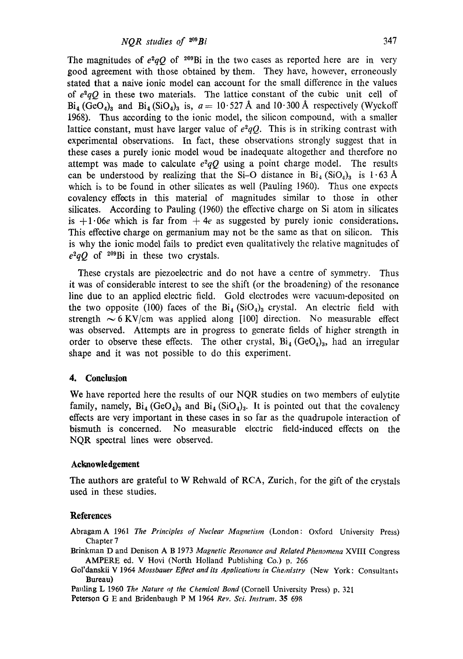The magnitudes of  $e^2qQ$  of <sup>209</sup>Bi in the two cases as reported here are in very good agreement with those obtained by them. They have, however, erroneously stated that a naive ionic model can account for the small difference in the values of  $e^2qQ$  in these two materials. The lattice constant of the cubic unit cell of  $Bi_4$  (GeO<sub>4</sub>)<sub>3</sub> and  $Bi_4$  (SiO<sub>4</sub>)<sub>3</sub> is,  $a = 10.527$  Å and 10.300 Å respectively (Wyckoff 1968). Thus according to the ionic model, the silicon compound, with a smaller lattice constant, must have larger value of  $e^2qQ$ . This is in striking contrast with experimental observations. In fact, these observations strongly suggest that in these cases a purely ionic model woud be inadequate altogether and therefore no attempt was made to calculate  $e^2qQ$  using a point charge model. The results can be understood by realizing that the Si-O distance in  $Bi_4(SiO_4)$  is 1.63 Å which is to be found in other silicates as well (Pauling 1960). Thus one expects covalency effects in this material of magnitudes similar to those in other silicates. According to Pauling (1960) the effective charge on Si atom in silicates is  $+1.06e$  which is far from  $+4e$  as suggested by purely ionic considerations. This effective charge on germanium may not be the same as that on silicon. This is why the ionic model fails to predict even qualitatively the relative magnitudes of  $e^2qQ$  of <sup>209</sup>Bi in these two crystals.

These crystals are piezoelectric and do not have a centre of symmetry. Thus it was of considerable interest to see the shift (or the broadening) of the resonance line due to an applied electric field. Gold electrodes were vacuum-deposited on the two opposite (100) faces of the  $Bi_4$  (SiO<sub>4</sub>)<sub>3</sub> crystal. An electric field with strength  $\sim$  6 KV/cm was applied along [100] direction. No measurable effect was observed. Attempts are in progress to generate fields of higher strength in order to observe these effects. The other crystal,  $Bi_4$  (GeO<sub>4</sub>)<sub>3</sub>, had an irregular shape and it was not possible to do this experiment.

#### **4. Conclusion**

We have reported here the results of our NQR studies on two members of eulytite family, namely,  $Bi_4$  (GeO<sub>4</sub>)<sub>3</sub> and  $Bi_4$  (SiO<sub>4</sub>)<sub>3</sub>. It is pointed out that the covalency effects are very important in these cases in so far as the quadrupole interaction of bismuth is concerned. No measurable electric field-induced effects on the NQR spectral lines were observed.

### **Acknowledgement**

The authors are grateful to W Rehwald of RCA, Zurich, for the gift of the crystals used in these studies.

#### **References**

Abragam A 1961 *The Principles of Nuclear Magnetism* (London: Oxford University Press) Chapter 7

Brinkman D and Denison A B 1973 *Magnetic Resonance and Related Phenomena* XVIII Congress AMPERE ed. V Hovi (North Holland Publishing Co.) p. 266

- Gol'danskii V 1964 Mossbauer Effect and its Applications in Chemistry (New York: Consultants Bureau)
- Pauling L 1960 The Nature of the Chemical Bond (Cornell University Press) p. 321

Peterson G E and Bridenbaugh P M 1964 *Rev. Sci. Instrum.* 35 698